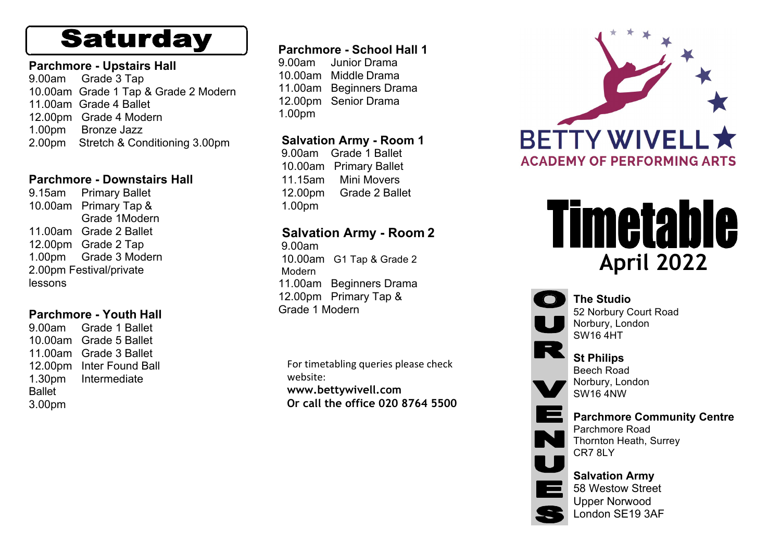

### **Parchmore - Upstairs Hall**

9.00am Grade 3 Tap 10.00am Grade 1 Tap & Grade 2 Modern 11.00am Grade 4 Ballet 12.00pm Grade 4 Modern 1. 00pm Bronze Jazz 2.00pm Stretch & Conditioning 3.00pm

### **Parchmore - Downstairs Hall**

9.15am Primary Ballet 10.00am Primary Tap & Grade 1Modern 11.00am Grade 2 Ballet 12.00pm Grade 2 Tap 1.00pm Grade 3 Modern 2.00pm Festival/private lessons

### **Parchmore - Youth Hall**

9.00am Grade 1 Ballet 10.00am Grade 5 Ballet 11.00am Grade 3 Ballet 12.00pm Inter Found Ball 1.30pm Intermediate **Ballet** 3.00pm

### **Parchmore - School Hall 1**

9.00am Junior Drama 10.00am Middle Drama 11.00am Beginners Drama 12.00pm Senior Drama 1.00pm

### **Salvation Army - Room 1**

9.00am Grade 1 Ballet 10.00am Primary Ballet 11.15am Mini Movers 12.00pm Grade 2 Ballet 1.00pm

### **Salvation Army - Room 2**

9.00a m 10.00am G1 Tap & Grade 2 Modern 11.00am Beginners Drama 12.00pm Primary Tap & Grade 1 Modern

For timetabling queries please check website: **www.bettywivell.com Or call the office 020 8764 5500**



# **Timetable April 20 2 2**



52 Norbury Court Road Norbury, London

Beech Road Norbury, London SW16 4NW



Parchmore Road Thornton Heath, Surrey

**Salvation Army**  58 Westow Street Upper Norwood London SE19 3AF